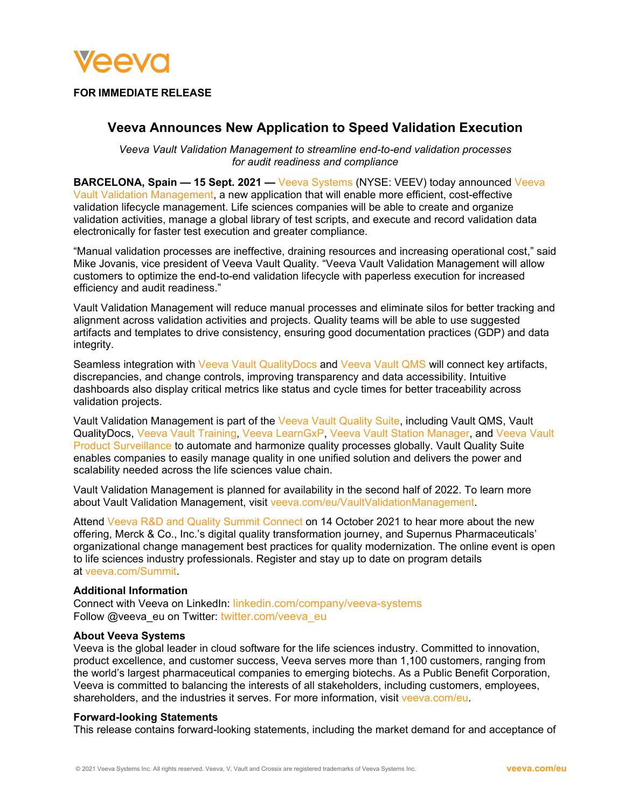

## **FOR IMMEDIATE RELEASE**

# **Veeva Announces New Application to Speed Validation Execution**

*Veeva Vault Validation Management to streamline end-to-end validation processes for audit readiness and compliance*

**BARCELONA, Spain — 15 Sept. 2021 —** [Veeva Systems](https://www.veeva.com/eu/) (NYSE: VEEV) today announced [Veeva](https://www.veeva.com/eu/products/vault-validation-management/)  [Vault Validation Management,](https://www.veeva.com/eu/products/vault-validation-management/) a new application that will enable more efficient, cost-effective validation lifecycle management. Life sciences companies will be able to create and organize validation activities, manage a global library of test scripts, and execute and record validation data electronically for faster test execution and greater compliance.

"Manual validation processes are ineffective, draining resources and increasing operational cost," said Mike Jovanis, vice president of Veeva Vault Quality. "Veeva Vault Validation Management will allow customers to optimize the end-to-end validation lifecycle with paperless execution for increased efficiency and audit readiness."

Vault Validation Management will reduce manual processes and eliminate silos for better tracking and alignment across validation activities and projects. Quality teams will be able to use suggested artifacts and templates to drive consistency, ensuring good documentation practices (GDP) and data integrity.

Seamless integration with [Veeva Vault QualityDocs](https://www.veeva.com/eu/products/vault-qualitydocs/) and [Veeva Vault QMS](https://www.veeva.com/eu/products/vault-qms/) will connect key artifacts, discrepancies, and change controls, improving transparency and data accessibility. Intuitive dashboards also display critical metrics like status and cycle times for better traceability across validation projects.

Vault Validation Management is part of the [Veeva Vault Quality Suite,](https://www.veeva.com/eu/products/vault-quality/) including Vault QMS, Vault QualityDocs, [Veeva Vault Training,](https://www.veeva.com/eu/products/vault-training/) [Veeva LearnGxP,](https://learngxp.com/) [Veeva Vault Station Manager,](https://www.veeva.com/eu/products/vault-station-manager/) and [Veeva Vault](https://www.veeva.com/eu/products/vault-product-surveillance/)  [Product Surveillance](https://www.veeva.com/eu/products/vault-product-surveillance/) to automate and harmonize quality processes globally. Vault Quality Suite enables companies to easily manage quality in one unified solution and delivers the power and scalability needed across the life sciences value chain.

Vault Validation Management is planned for availability in the second half of 2022. To learn more about Vault Validation Management, visit [veeva.com/eu/VaultValidationManagement.](https://www.veeva.com/eu/products/vault-validation-management/)

Attend [Veeva R&D and Quality Summit Connect](https://www.veeva.com/events/rd-summit/) on 14 October 2021 to hear more about the new offering, Merck & Co., Inc.'s digital quality transformation journey, and Supernus Pharmaceuticals' organizational change management best practices for quality modernization. The online event is open to life sciences industry professionals. Register and stay up to date on program details at [veeva.com/Summit.](https://www.veeva.com/events/rd-summit/)

#### **Additional Information**

Connect with Veeva on LinkedIn: [linkedin.com/company/veeva-systems](http://www.linkedin.com/company/veeva-systems) Follow @veeva\_eu on Twitter: [twitter.com/veeva\\_eu](https://twitter.com/veeva_eu)

#### **About Veeva Systems**

Veeva is the global leader in cloud software for the life sciences industry. Committed to innovation, product excellence, and customer success, Veeva serves more than 1,100 customers, ranging from the world's largest pharmaceutical companies to emerging biotechs. As a Public Benefit Corporation, Veeva is committed to balancing the interests of all stakeholders, including customers, employees, shareholders, and the industries it serves. For more information, visit [veeva.com/eu.](http://veeva.com/eu)

#### **Forward-looking Statements**

This release contains forward-looking statements, including the market demand for and acceptance of